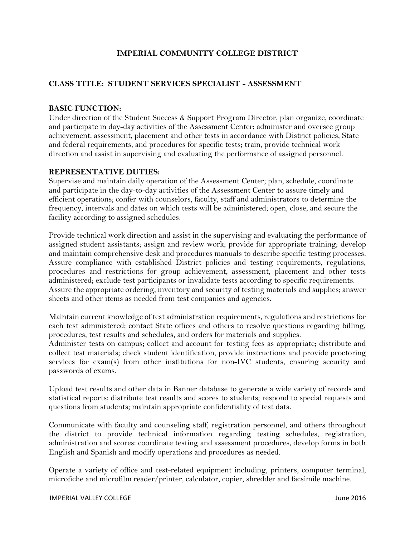# I**MPERIAL COMMUNITY COLLEGE DISTRICT**

# **CLASS TITLE: STUDENT SERVICES SPECIALIST - ASSESSMENT**

### **BASIC FUNCTION:**

Under direction of the Student Success & Support Program Director, plan organize, coordinate and participate in day-day activities of the Assessment Center; administer and oversee group achievement, assessment, placement and other tests in accordance with District policies, State and federal requirements, and procedures for specific tests; train, provide technical work direction and assist in supervising and evaluating the performance of assigned personnel.

#### **REPRESENTATIVE DUTIES:**

Supervise and maintain daily operation of the Assessment Center; plan, schedule, coordinate and participate in the day-to-day activities of the Assessment Center to assure timely and efficient operations; confer with counselors, faculty, staff and administrators to determine the frequency, intervals and dates on which tests will be administered; open, close, and secure the facility according to assigned schedules.

Provide technical work direction and assist in the supervising and evaluating the performance of assigned student assistants; assign and review work; provide for appropriate training; develop and maintain comprehensive desk and procedures manuals to describe specific testing processes. Assure compliance with established District policies and testing requirements, regulations, procedures and restrictions for group achievement, assessment, placement and other tests administered; exclude test participants or invalidate tests according to specific requirements. Assure the appropriate ordering, inventory and security of testing materials and supplies; answer sheets and other items as needed from test companies and agencies.

Maintain current knowledge of test administration requirements, regulations and restrictions for each test administered; contact State offices and others to resolve questions regarding billing, procedures, test results and schedules, and orders for materials and supplies.

Administer tests on campus; collect and account for testing fees as appropriate; distribute and collect test materials; check student identification, provide instructions and provide proctoring services for exam(s) from other institutions for non-IVC students, ensuring security and passwords of exams.

Upload test results and other data in Banner database to generate a wide variety of records and statistical reports; distribute test results and scores to students; respond to special requests and questions from students; maintain appropriate confidentiality of test data.

Communicate with faculty and counseling staff, registration personnel, and others throughout the district to provide technical information regarding testing schedules, registration, administration and scores: coordinate testing and assessment procedures, develop forms in both English and Spanish and modify operations and procedures as needed.

Operate a variety of office and test-related equipment including, printers, computer terminal, microfiche and microfilm reader/printer, calculator, copier, shredder and facsimile machine.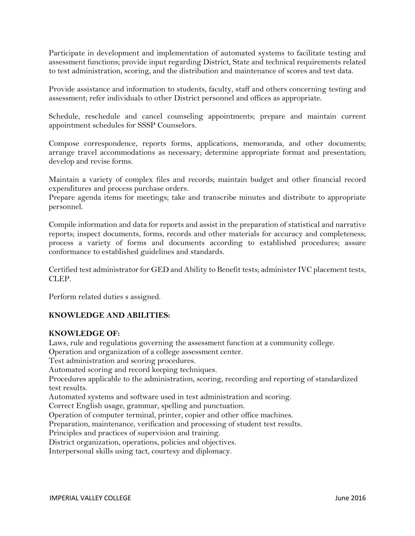Participate in development and implementation of automated systems to facilitate testing and assessment functions; provide input regarding District, State and technical requirements related to test administration, scoring, and the distribution and maintenance of scores and test data.

Provide assistance and information to students, faculty, staff and others concerning testing and assessment; refer individuals to other District personnel and offices as appropriate.

Schedule, reschedule and cancel counseling appointments; prepare and maintain current appointment schedules for SSSP Counselors.

Compose correspondence, reports forms, applications, memoranda, and other documents; arrange travel accommodations as necessary; determine appropriate format and presentation; develop and revise forms.

Maintain a variety of complex files and records; maintain budget and other financial record expenditures and process purchase orders.

Prepare agenda items for meetings; take and transcribe minutes and distribute to appropriate personnel.

Compile information and data for reports and assist in the preparation of statistical and narrative reports; inspect documents, forms, records and other materials for accuracy and completeness; process a variety of forms and documents according to established procedures; assure conformance to established guidelines and standards.

Certified test administrator for GED and Ability to Benefit tests; administer IVC placement tests, CLEP.

Perform related duties s assigned.

## **KNOWLEDGE AND ABILITIES:**

### **KNOWLEDGE OF:**

Laws, rule and regulations governing the assessment function at a community college. Operation and organization of a college assessment center. Test administration and scoring procedures. Automated scoring and record keeping techniques. Procedures applicable to the administration, scoring, recording and reporting of standardized test results. Automated systems and software used in test administration and scoring. Correct English usage, grammar, spelling and punctuation. Operation of computer terminal, printer, copier and other office machines. Preparation, maintenance, verification and processing of student test results. Principles and practices of supervision and training. District organization, operations, policies and objectives. Interpersonal skills using tact, courtesy and diplomacy.